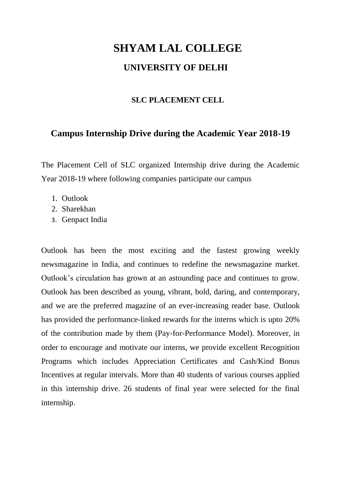## **SHYAM LAL COLLEGE UNIVERSITY OF DELHI**

## **SLC PLACEMENT CELL**

## **Campus Internship Drive during the Academic Year 2018-19**

The Placement Cell of SLC organized Internship drive during the Academic Year 2018-19 where following companies participate our campus

- 1. Outlook
- 2. Sharekhan
- 3. Genpact India

Outlook has been the most exciting and the fastest growing weekly newsmagazine in India, and continues to redefine the newsmagazine market. Outlook's circulation has grown at an astounding pace and continues to grow. Outlook has been described as young, vibrant, bold, daring, and contemporary, and we are the preferred magazine of an ever-increasing reader base. Outlook has provided the performance-linked rewards for the interns which is upto 20% of the contribution made by them (Pay-for-Performance Model). Moreover, in order to encourage and motivate our interns, we provide excellent Recognition Programs which includes Appreciation Certificates and Cash/Kind Bonus Incentives at regular intervals. More than 40 students of various courses applied in this internship drive. 26 students of final year were selected for the final internship.